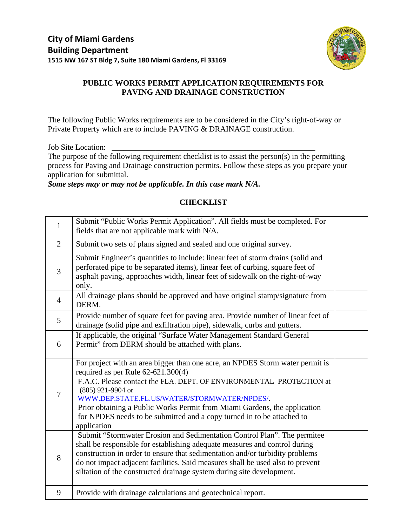

# **PUBLIC WORKS PERMIT APPLICATION REQUIREMENTS FOR PAVING AND DRAINAGE CONSTRUCTION**

The following Public Works requirements are to be considered in the City's right-of-way or Private Property which are to include PAVING & DRAINAGE construction.

Job Site Location:

The purpose of the following requirement checklist is to assist the person(s) in the permitting process for Paving and Drainage construction permits. Follow these steps as you prepare your application for submittal.

*Some steps may or may not be applicable. In this case mark N/A.* 

## **CHECKLIST**

| $\mathbf{1}$   | Submit "Public Works Permit Application". All fields must be completed. For<br>fields that are not applicable mark with N/A.                                                                                                                                                                                                                                                                                                            |  |
|----------------|-----------------------------------------------------------------------------------------------------------------------------------------------------------------------------------------------------------------------------------------------------------------------------------------------------------------------------------------------------------------------------------------------------------------------------------------|--|
| $\overline{2}$ | Submit two sets of plans signed and sealed and one original survey.                                                                                                                                                                                                                                                                                                                                                                     |  |
| 3              | Submit Engineer's quantities to include: linear feet of storm drains (solid and<br>perforated pipe to be separated items), linear feet of curbing, square feet of<br>asphalt paving, approaches width, linear feet of sidewalk on the right-of-way<br>only.                                                                                                                                                                             |  |
| 4              | All drainage plans should be approved and have original stamp/signature from<br>DERM.                                                                                                                                                                                                                                                                                                                                                   |  |
| 5              | Provide number of square feet for paving area. Provide number of linear feet of<br>drainage (solid pipe and exfiltration pipe), sidewalk, curbs and gutters.                                                                                                                                                                                                                                                                            |  |
| 6              | If applicable, the original "Surface Water Management Standard General<br>Permit" from DERM should be attached with plans.                                                                                                                                                                                                                                                                                                              |  |
| $\overline{7}$ | For project with an area bigger than one acre, an NPDES Storm water permit is<br>required as per Rule $62-621.300(4)$<br>F.A.C. Please contact the FLA. DEPT. OF ENVIRONMENTAL PROTECTION at<br>(805) 921-9904 or<br>WWW.DEP.STATE.FL.US/WATER/STORMWATER/NPDES/.<br>Prior obtaining a Public Works Permit from Miami Gardens, the application<br>for NPDES needs to be submitted and a copy turned in to be attached to<br>application |  |
| 8              | Submit "Stormwater Erosion and Sedimentation Control Plan". The permitee<br>shall be responsible for establishing adequate measures and control during<br>construction in order to ensure that sedimentation and/or turbidity problems<br>do not impact adjacent facilities. Said measures shall be used also to prevent<br>siltation of the constructed drainage system during site development.                                       |  |
| 9              | Provide with drainage calculations and geotechnical report.                                                                                                                                                                                                                                                                                                                                                                             |  |